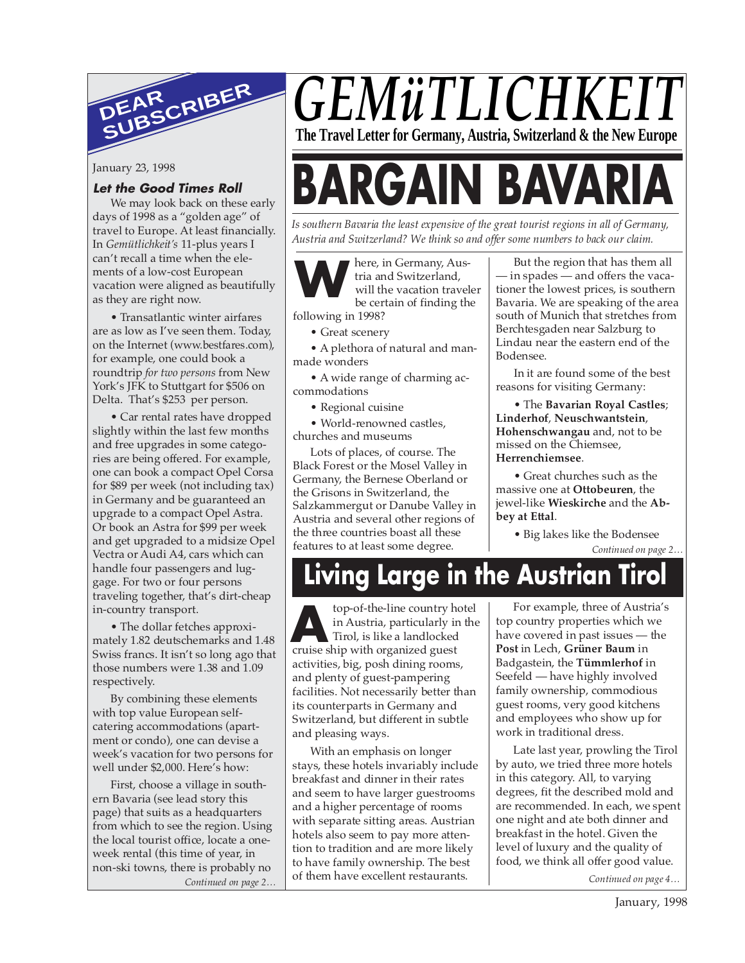

January 23, 1998

#### **Let the Good Times Roll**

We may look back on these early days of 1998 as a "golden age" of travel to Europe. At least financially. In *Gemütlichkeit's* 11-plus years I can't recall a time when the elements of a low-cost European vacation were aligned as beautifully as they are right now.

• Transatlantic winter airfares are as low as I've seen them. Today, on the Internet (www.bestfares.com), for example, one could book a roundtrip *for two persons* from New York's JFK to Stuttgart for \$506 on Delta. That's \$253 per person.

• Car rental rates have dropped slightly within the last few months and free upgrades in some categories are being offered. For example, one can book a compact Opel Corsa for \$89 per week (not including tax) in Germany and be guaranteed an upgrade to a compact Opel Astra. Or book an Astra for \$99 per week and get upgraded to a midsize Opel Vectra or Audi A4, cars which can handle four passengers and luggage. For two or four persons traveling together, that's dirt-cheap in-country transport.

• The dollar fetches approximately 1.82 deutschemarks and 1.48 Swiss francs. It isn't so long ago that those numbers were 1.38 and 1.09 respectively.

By combining these elements with top value European selfcatering accommodations (apartment or condo), one can devise a week's vacation for two persons for well under \$2,000. Here's how:

First, choose a village in southern Bavaria (see lead story this page) that suits as a headquarters from which to see the region. Using the local tourist office, locate a oneweek rental (this time of year, in non-ski towns, there is probably no *Continued on page 2…*

## *GEMüTLICHKE* **The Travel Letter for Germany, Austria, Switzerland & the New Europe**

# **BARGAIN BAVAR**

*Is southern Bavaria the least expensive of the great tourist regions in all of Germany, Austria and Switzerland? We think so and offer some numbers to back our claim.*

**W**

here, in Germany, Austria and Switzerland, will the vacation traveler be certain of finding the

following in 1998?

• Great scenery

• A plethora of natural and manmade wonders

• A wide range of charming accommodations

• Regional cuisine

• World-renowned castles, churches and museums

Lots of places, of course. The Black Forest or the Mosel Valley in Germany, the Bernese Oberland or the Grisons in Switzerland, the Salzkammergut or Danube Valley in Austria and several other regions of the three countries boast all these features to at least some degree.

But the region that has them all — in spades — and offers the vacationer the lowest prices, is southern Bavaria. We are speaking of the area south of Munich that stretches from Berchtesgaden near Salzburg to Lindau near the eastern end of the Bodensee.

In it are found some of the best reasons for visiting Germany:

• The **Bavarian Royal Castles**; **Linderhof**, **Neuschwantstein**, **Hohenschwangau** and, not to be missed on the Chiemsee, **Herrenchiemsee**.

• Great churches such as the massive one at **Ottobeuren**, the jewel-like **Wieskirche** and the **Abbey at Ettal**.

> • Big lakes like the Bodensee *Continued on page 2…*

## **Living Large in the Austrian Tirol**

top-of-the-line country hotel in Austria, particularly in the Tirol, is like a landlocked **top-of-the-line country h**<br>in Austria, particularly in<br>Tirol, is like a landlocked<br>cruise ship with organized guest activities, big, posh dining rooms, and plenty of guest-pampering facilities. Not necessarily better than its counterparts in Germany and Switzerland, but different in subtle and pleasing ways.

With an emphasis on longer stays, these hotels invariably include breakfast and dinner in their rates and seem to have larger guestrooms and a higher percentage of rooms with separate sitting areas. Austrian hotels also seem to pay more attention to tradition and are more likely to have family ownership. The best of them have excellent restaurants.

For example, three of Austria's top country properties which we have covered in past issues — the **Post** in Lech, **Grüner Baum** in Badgastein, the **Tümmlerhof** in Seefeld — have highly involved family ownership, commodious guest rooms, very good kitchens and employees who show up for work in traditional dress.

Late last year, prowling the Tirol by auto, we tried three more hotels in this category. All, to varying degrees, fit the described mold and are recommended. In each, we spent one night and ate both dinner and breakfast in the hotel. Given the level of luxury and the quality of food, we think all offer good value.

*Continued on page 4…*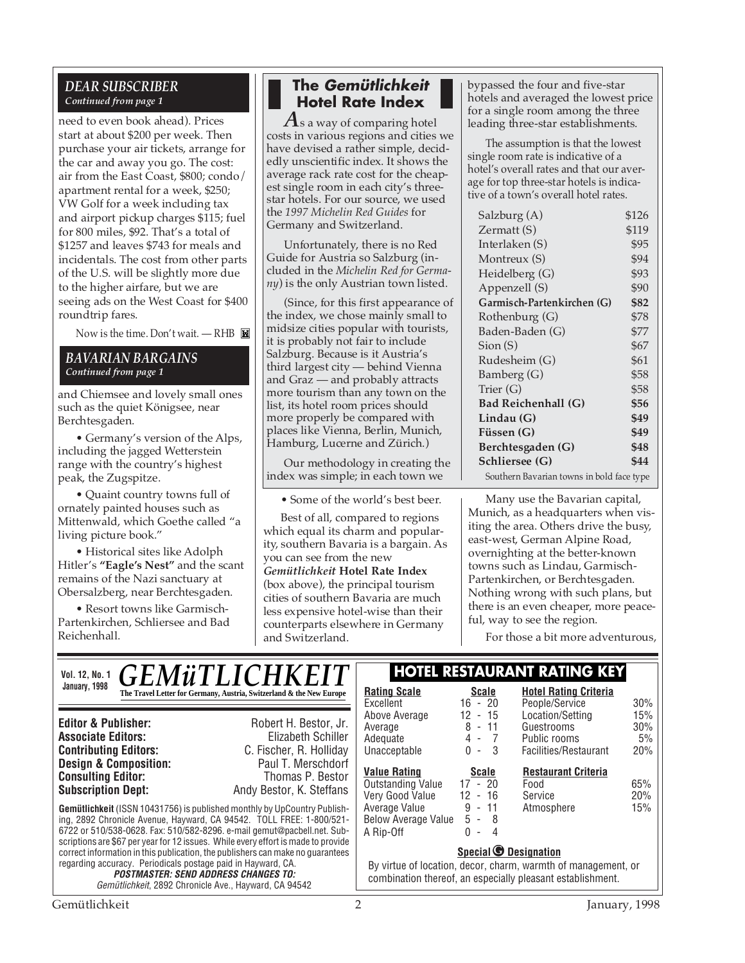#### *DEAR SUBSCRIBER Continued from page 1*

need to even book ahead). Prices start at about \$200 per week. Then purchase your air tickets, arrange for the car and away you go. The cost: air from the East Coast, \$800; condo/ apartment rental for a week, \$250; VW Golf for a week including tax and airport pickup charges \$115; fuel for 800 miles, \$92. That's a total of \$1257 and leaves \$743 for meals and incidentals. The cost from other parts of the U.S. will be slightly more due to the higher airfare, but we are seeing ads on the West Coast for \$400 roundtrip fares.

Now is the time. Don't wait. - RHB

#### *BAVARIAN BARGAINS Continued from page 1*

and Chiemsee and lovely small ones such as the quiet Königsee, near Berchtesgaden.

• Germany's version of the Alps, including the jagged Wetterstein range with the country's highest peak, the Zugspitze.

• Quaint country towns full of ornately painted houses such as Mittenwald, which Goethe called "a living picture book."

• Historical sites like Adolph Hitler's **"Eagle's Nest"** and the scant remains of the Nazi sanctuary at Obersalzberg, near Berchtesgaden.

• Resort towns like Garmisch-Partenkirchen, Schliersee and Bad Reichenhall.

#### **The Gemütlichkeit Hotel Rate Index**

*A*s a way of comparing hotel costs in various regions and cities we have devised a rather simple, decidedly unscientific index. It shows the average rack rate cost for the cheapest single room in each city's threestar hotels. For our source, we used the *1997 Michelin Red Guides* for Germany and Switzerland.

Unfortunately, there is no Red Guide for Austria so Salzburg (included in the *Michelin Red for Germany*) is the only Austrian town listed.

(Since, for this first appearance of the index, we chose mainly small to midsize cities popular with tourists, it is probably not fair to include Salzburg. Because is it Austria's third largest city — behind Vienna and Graz — and probably attracts more tourism than any town on the list, its hotel room prices should more properly be compared with places like Vienna, Berlin, Munich, Hamburg, Lucerne and Zürich.)

Our methodology in creating the index was simple; in each town we

• Some of the world's best beer.

Best of all, compared to regions which equal its charm and popularity, southern Bavaria is a bargain. As you can see from the new *Gemütlichkeit* **Hotel Rate Index** (box above), the principal tourism cities of southern Bavaria are much less expensive hotel-wise than their counterparts elsewhere in Germany and Switzerland.

bypassed the four and five-star hotels and averaged the lowest price for a single room among the three leading three-star establishments.

The assumption is that the lowest single room rate is indicative of a hotel's overall rates and that our average for top three-star hotels is indicative of a town's overall hotel rates.

| Salzburg (A)                                             | \$126 |
|----------------------------------------------------------|-------|
| Zermatt (S)                                              | \$119 |
| Interlaken (S)                                           | \$95  |
| Montreux (S)                                             | \$94  |
| Heidelberg (G)                                           | \$93  |
| Appenzell (S)                                            | \$90  |
| Garmisch-Partenkirchen (G)                               | \$82  |
| Rothenburg (G)                                           | \$78  |
| Baden-Baden (G)                                          | \$77  |
| $S$ ion $(S)$                                            | \$67  |
| Rudesheim (G)                                            | \$61  |
| Bamberg (G)                                              | \$58  |
| Trier $(G)$                                              | \$58  |
| <b>Bad Reichenhall (G)</b>                               | \$56  |
| Lindau(G)                                                | \$49  |
| Füssen (G)                                               | \$49  |
| Berchtesgaden (G)                                        | \$48  |
| Schliersee (G)                                           | \$44  |
| $\cdot$ 1.116<br>$c_{\rm eff}$ . The state $c_{\rm eff}$ |       |

Southern Bavarian towns in bold face type

Many use the Bavarian capital, Munich, as a headquarters when visiting the area. Others drive the busy, east-west, German Alpine Road, overnighting at the better-known towns such as Lindau, Garmisch-Partenkirchen, or Berchtesgaden. Nothing wrong with such plans, but there is an even cheaper, more peaceful, way to see the region.

For those a bit more adventurous,

| <i><b>GEMüTLICHKEIT</b></i><br><b>Vol. 12, No. 1</b>                                                                                                                                                                                                                                                                                                                                                                                                                                                                                                                              |  |                                                                                                                                                                    | <b>HOTEL RESTAURANT RATING KEY</b>                                 |                                             |                                                                         |                         |
|-----------------------------------------------------------------------------------------------------------------------------------------------------------------------------------------------------------------------------------------------------------------------------------------------------------------------------------------------------------------------------------------------------------------------------------------------------------------------------------------------------------------------------------------------------------------------------------|--|--------------------------------------------------------------------------------------------------------------------------------------------------------------------|--------------------------------------------------------------------|---------------------------------------------|-------------------------------------------------------------------------|-------------------------|
| January, 1998                                                                                                                                                                                                                                                                                                                                                                                                                                                                                                                                                                     |  | The Travel Letter for Germany, Austria, Switzerland & the New Europe                                                                                               | <b>Rating Scale</b><br>Excellent                                   | <b>Scale</b><br>$16 - 20$                   | <b>Hotel Rating Criteria</b><br>People/Service                          | 30%                     |
| <b>Editor &amp; Publisher:</b><br><b>Associate Editors:</b><br><b>Contributing Editors:</b>                                                                                                                                                                                                                                                                                                                                                                                                                                                                                       |  | Robert H. Bestor, Jr.<br>Elizabeth Schiller<br>C. Fischer, R. Holliday                                                                                             | Above Average<br>Average<br>Adequate<br>Unacceptable               | $12 - 15$<br>$8 - 11$<br>$4 - 7$<br>$0 - 3$ | Location/Setting<br>Guestrooms<br>Public rooms<br>Facilities/Restaurant | 15%<br>30%<br>5%<br>20% |
| <b>Design &amp; Composition:</b><br><b>Consulting Editor:</b><br><b>Subscription Dept:</b>                                                                                                                                                                                                                                                                                                                                                                                                                                                                                        |  | Paul T. Merschdorf<br>Thomas P. Bestor<br>Andy Bestor, K. Steffans                                                                                                 | <b>Value Rating</b><br><b>Outstanding Value</b><br>Very Good Value | Scale<br>$17 - 20$<br>$12 - 16$             | <b>Restaurant Criteria</b><br>Food<br>Service                           | 65%<br>20%              |
| <b>Gemütlichkeit</b> (ISSN 10431756) is published monthly by UpCountry Publish-<br>ing, 2892 Chronicle Avenue, Hayward, CA 94542. TOLL FREE: 1-800/521-<br>6722 or 510/538-0628. Fax: 510/582-8296. e-mail gemut@pacbell.net. Sub-<br>scriptions are \$67 per year for 12 issues. While every effort is made to provide<br>correct information in this publication, the publishers can make no quarantees<br>regarding accuracy. Periodicals postage paid in Hayward, CA.<br><b>POSTMASTER: SEND ADDRESS CHANGES TO:</b><br>Gemütlichkeit, 2892 Chronicle Ave., Hayward, CA 94542 |  | Average Value<br>Below Average Value<br>A Rip-Off                                                                                                                  | $9 - 11$<br>$5 - 8$<br>$0 -$<br>4                                  | Atmosphere                                  | 15%                                                                     |                         |
|                                                                                                                                                                                                                                                                                                                                                                                                                                                                                                                                                                                   |  | Special <b><i>O</i></b> Designation<br>By virtue of location, decor, charm, warmth of management, or<br>combination thereof, an especially pleasant establishment. |                                                                    |                                             |                                                                         |                         |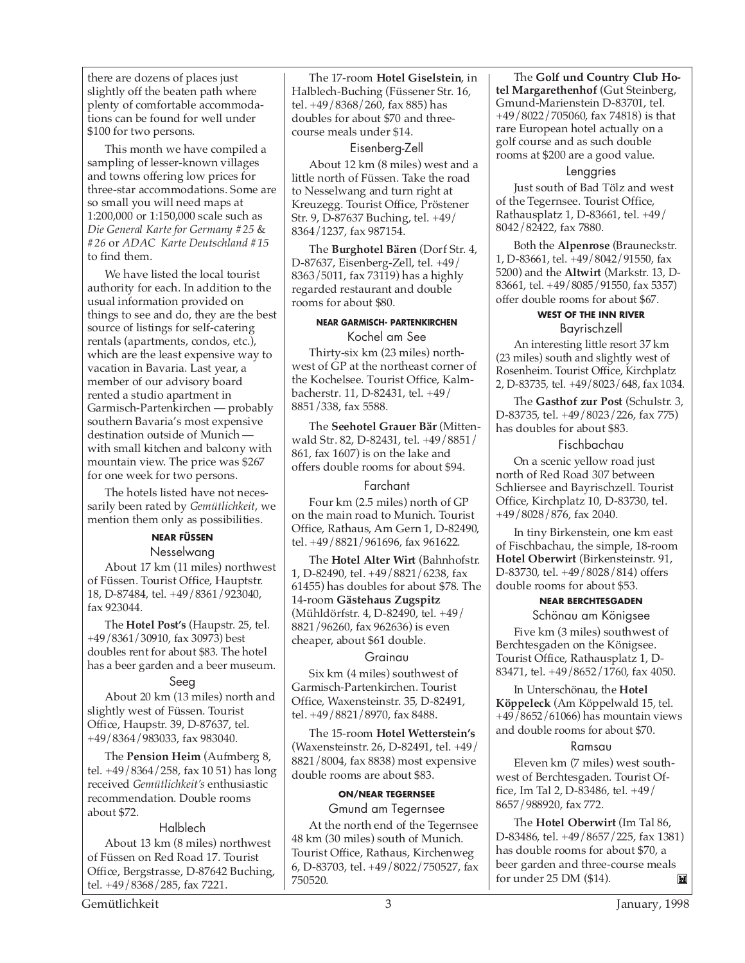there are dozens of places just slightly off the beaten path where plenty of comfortable accommodations can be found for well under \$100 for two persons.

This month we have compiled a sampling of lesser-known villages and towns offering low prices for three-star accommodations. Some are so small you will need maps at 1:200,000 or 1:150,000 scale such as *Die General Karte for Germany #25* & *#26* or *ADAC Karte Deutschland #15* to find them.

We have listed the local tourist authority for each. In addition to the usual information provided on things to see and do, they are the best source of listings for self-catering rentals (apartments, condos, etc.), which are the least expensive way to vacation in Bavaria. Last year, a member of our advisory board rented a studio apartment in Garmisch-Partenkirchen — probably southern Bavaria's most expensive destination outside of Munich with small kitchen and balcony with mountain view. The price was \$267 for one week for two persons.

The hotels listed have not necessarily been rated by *Gemütlichkeit*, we mention them only as possibilities.

#### **NEAR FÜSSEN**

Nesselwang

About 17 km (11 miles) northwest of Füssen. Tourist Office, Hauptstr. 18, D-87484, tel. +49/8361/923040, fax 923044.

The **Hotel Post's** (Haupstr. 25, tel. +49/8361/30910, fax 30973) best doubles rent for about \$83. The hotel has a beer garden and a beer museum.

#### Seeg

About 20 km (13 miles) north and slightly west of Füssen. Tourist Office, Haupstr. 39, D-87637, tel. +49/8364/983033, fax 983040.

The **Pension Heim** (Aufmberg 8, tel. +49/8364/258, fax 10 51) has long received *Gemütlichkeit's* enthusiastic recommendation. Double rooms about \$72.

#### Halblech About 13 km (8 miles) northwest of Füssen on Red Road 17. Tourist Office, Bergstrasse, D-87642 Buching, tel. +49/8368/285, fax 7221.

The 17-room **Hotel Giselstein**, in Halblech-Buching (Füssener Str. 16, tel. +49/8368/260, fax 885) has doubles for about \$70 and threecourse meals under \$14.

#### Eisenberg-Zell

About 12 km (8 miles) west and a little north of Füssen. Take the road to Nesselwang and turn right at Kreuzegg. Tourist Office, Pröstener Str. 9, D-87637 Buching, tel. +49/ 8364/1237, fax 987154.

The **Burghotel Bären** (Dorf Str. 4, D-87637, Eisenberg-Zell, tel. +49/ 8363/5011, fax 73119) has a highly regarded restaurant and double rooms for about \$80.

#### **NEAR GARMISCH- PARTENKIRCHEN** Kochel am See

Thirty-six km (23 miles) northwest of GP at the northeast corner of the Kochelsee. Tourist Office, Kalmbacherstr. 11, D-82431, tel. +49/ 8851/338, fax 5588.

The **Seehotel Grauer Bär** (Mittenwald Str. 82, D-82431, tel. +49/8851/ 861, fax 1607) is on the lake and offers double rooms for about \$94.

#### Farchant

Four km (2.5 miles) north of GP on the main road to Munich. Tourist Office, Rathaus, Am Gern 1, D-82490, tel. +49/8821/961696, fax 961622.

The **Hotel Alter Wirt** (Bahnhofstr. 1, D-82490, tel. +49/8821/6238, fax 61455) has doubles for about \$78. The 14-room **Gästehaus Zugspitz** (Mühldörfstr. 4, D-82490, tel. +49/ 8821/96260, fax 962636) is even cheaper, about \$61 double.

#### Grainau

Six km (4 miles) southwest of Garmisch-Partenkirchen. Tourist Office, Waxensteinstr. 35, D-82491, tel. +49/8821/8970, fax 8488.

The 15-room **Hotel Wetterstein's** (Waxensteinstr. 26, D-82491, tel. +49/ 8821/8004, fax 8838) most expensive double rooms are about \$83.

#### **ON/NEAR TEGERNSEE**

Gmund am Tegernsee At the north end of the Tegernsee 48 km (30 miles) south of Munich. Tourist Office, Rathaus, Kirchenweg 6, D-83703, tel. +49/8022/750527, fax 750520.

The **Golf und Country Club Hotel Margarethenhof** (Gut Steinberg, Gmund-Marienstein D-83701, tel. +49/8022/705060, fax 74818) is that rare European hotel actually on a golf course and as such double rooms at \$200 are a good value.

#### Lenggries

Just south of Bad Tölz and west of the Tegernsee. Tourist Office, Rathausplatz 1, D-83661, tel. +49/ 8042/82422, fax 7880.

Both the **Alpenrose** (Brauneckstr. 1, D-83661, tel. +49/8042/91550, fax 5200) and the **Altwirt** (Markstr. 13, D-83661, tel. +49/8085/91550, fax 5357) offer double rooms for about \$67.

#### **WEST OF THE INN RIVER** Bayrischzell

An interesting little resort 37 km (23 miles) south and slightly west of Rosenheim. Tourist Office, Kirchplatz 2, D-83735, tel. +49/8023/648, fax 1034.

The **Gasthof zur Post** (Schulstr. 3, D-83735, tel. +49/8023/226, fax 775) has doubles for about \$83.

#### Fischbachau

On a scenic yellow road just north of Red Road 307 between Schliersee and Bayrischzell. Tourist Office, Kirchplatz 10, D-83730, tel. +49/8028/876, fax 2040.

In tiny Birkenstein, one km east of Fischbachau, the simple, 18-room **Hotel Oberwirt** (Birkensteinstr. 91, D-83730, tel. +49/8028/814) offers double rooms for about \$53.

#### **NEAR BERCHTESGADEN**

Schönau am Königsee Five km (3 miles) southwest of Berchtesgaden on the Königsee. Tourist Office, Rathausplatz 1, D-83471, tel. +49/8652/1760, fax 4050.

In Unterschönau, the **Hotel Köppeleck** (Am Köppelwald 15, tel. +49/8652/61066) has mountain views and double rooms for about \$70.

#### Ramsau

Eleven km (7 miles) west southwest of Berchtesgaden. Tourist Office, Im Tal 2, D-83486, tel. +49/ 8657/988920, fax 772.

The **Hotel Oberwirt** (Im Tal 86, D-83486, tel. +49/8657/225, fax 1381) has double rooms for about \$70, a beer garden and three-course meals for under 25 DM (\$14).圖

Gemütlichkeit 3 January, 1998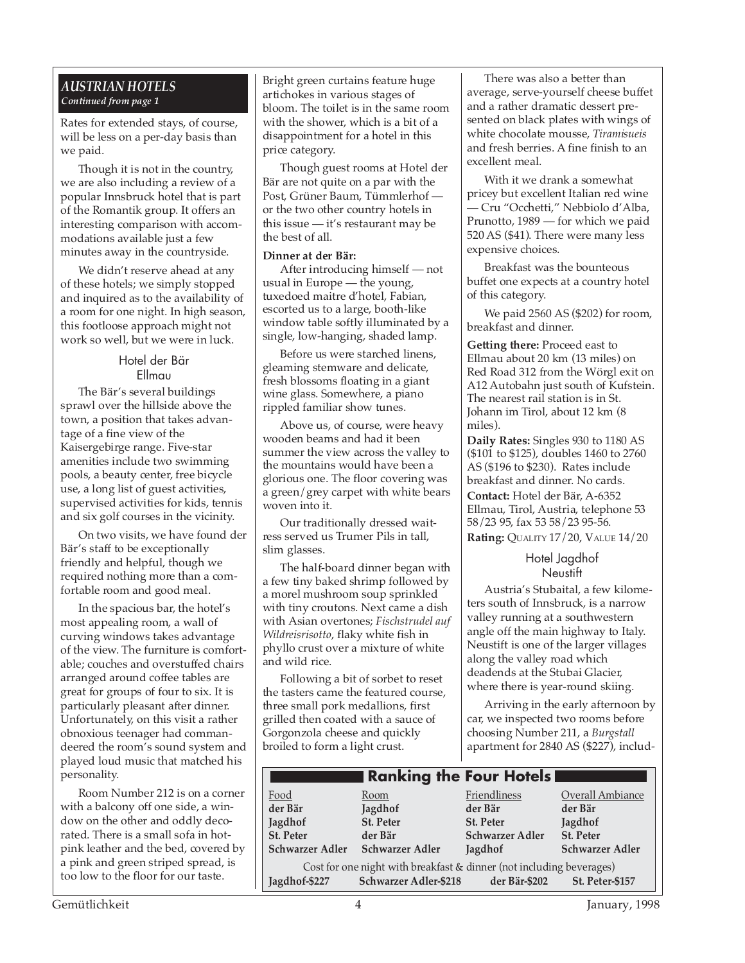#### *AUSTRIAN HOTELS Continued from page 1*

Rates for extended stays, of course, will be less on a per-day basis than we paid.

Though it is not in the country, we are also including a review of a popular Innsbruck hotel that is part of the Romantik group. It offers an interesting comparison with accommodations available just a few minutes away in the countryside.

We didn't reserve ahead at any of these hotels; we simply stopped and inquired as to the availability of a room for one night. In high season, this footloose approach might not work so well, but we were in luck.

#### Hotel der Bär Ellmau

The Bär's several buildings sprawl over the hillside above the town, a position that takes advantage of a fine view of the Kaisergebirge range. Five-star amenities include two swimming pools, a beauty center, free bicycle use, a long list of guest activities, supervised activities for kids, tennis and six golf courses in the vicinity.

On two visits, we have found der Bär's staff to be exceptionally friendly and helpful, though we required nothing more than a comfortable room and good meal.

In the spacious bar, the hotel's most appealing room, a wall of curving windows takes advantage of the view. The furniture is comfortable; couches and overstuffed chairs arranged around coffee tables are great for groups of four to six. It is particularly pleasant after dinner. Unfortunately, on this visit a rather obnoxious teenager had commandeered the room's sound system and played loud music that matched his personality.

Room Number 212 is on a corner with a balcony off one side, a window on the other and oddly decorated. There is a small sofa in hotpink leather and the bed, covered by a pink and green striped spread, is too low to the floor for our taste.

Bright green curtains feature huge artichokes in various stages of bloom. The toilet is in the same room with the shower, which is a bit of a disappointment for a hotel in this price category.

Though guest rooms at Hotel der Bär are not quite on a par with the Post, Grüner Baum, Tümmlerhof or the two other country hotels in this issue — it's restaurant may be the best of all.

#### **Dinner at der Bär:**

After introducing himself — not usual in Europe — the young, tuxedoed maitre d'hotel, Fabian, escorted us to a large, booth-like window table softly illuminated by a single, low-hanging, shaded lamp.

Before us were starched linens, gleaming stemware and delicate, fresh blossoms floating in a giant wine glass. Somewhere, a piano rippled familiar show tunes.

Above us, of course, were heavy wooden beams and had it been summer the view across the valley to the mountains would have been a glorious one. The floor covering was a green/grey carpet with white bears woven into it.

Our traditionally dressed waitress served us Trumer Pils in tall, slim glasses.

The half-board dinner began with a few tiny baked shrimp followed by a morel mushroom soup sprinkled with tiny croutons. Next came a dish with Asian overtones; *Fischstrudel auf Wildreisrisotto*, flaky white fish in phyllo crust over a mixture of white and wild rice.

Following a bit of sorbet to reset the tasters came the featured course, three small pork medallions, first grilled then coated with a sauce of Gorgonzola cheese and quickly broiled to form a light crust.

There was also a better than average, serve-yourself cheese buffet and a rather dramatic dessert presented on black plates with wings of white chocolate mousse, *Tiramisueis* and fresh berries. A fine finish to an excellent meal.

With it we drank a somewhat pricey but excellent Italian red wine — Cru "Occhetti," Nebbiolo d'Alba, Prunotto, 1989 — for which we paid 520 AS (\$41). There were many less expensive choices.

Breakfast was the bounteous buffet one expects at a country hotel of this category.

We paid 2560 AS (\$202) for room, breakfast and dinner.

**Getting there:** Proceed east to Ellmau about 20 km (13 miles) on Red Road 312 from the Wörgl exit on A12 Autobahn just south of Kufstein. The nearest rail station is in St. Johann im Tirol, about 12 km (8 miles).

**Daily Rates:** Singles 930 to 1180 AS (\$101 to \$125), doubles 1460 to 2760 AS (\$196 to \$230). Rates include breakfast and dinner. No cards. **Contact:** Hotel der Bär, A-6352 Ellmau, Tirol, Austria, telephone 53

58/23 95, fax 53 58/23 95-56. **Rating:** QUALITY 17/20, VALUE 14/20

> Hotel Jagdhof Neustift

Austria's Stubaital, a few kilometers south of Innsbruck, is a narrow valley running at a southwestern angle off the main highway to Italy. Neustift is one of the larger villages along the valley road which deadends at the Stubai Glacier, where there is year-round skiing.

Arriving in the early afternoon by car, we inspected two rooms before choosing Number 211, a *Burgstall* apartment for 2840 AS (\$227), includ-

|                                                                      |                              | <b>Ranking the Four Hotels</b> |                        |  |  |  |
|----------------------------------------------------------------------|------------------------------|--------------------------------|------------------------|--|--|--|
| Food                                                                 | Room                         | Friendliness                   | Overall Ambiance       |  |  |  |
| der Bär                                                              | Jagdhof                      | der Bär                        | der Bär                |  |  |  |
| Jagdhof                                                              | St. Peter                    | <b>St. Peter</b>               | Jagdhof                |  |  |  |
| St. Peter                                                            | der Bär                      | <b>Schwarzer Adler</b>         | St. Peter              |  |  |  |
| <b>Schwarzer Adler</b>                                               | <b>Schwarzer Adler</b>       | Jagdhof                        | <b>Schwarzer Adler</b> |  |  |  |
| Cost for one night with breakfast & dinner (not including beverages) |                              |                                |                        |  |  |  |
| Jagdhof-\$227                                                        | <b>Schwarzer Adler-\$218</b> | der Bär-\$202                  | St. Peter-\$157        |  |  |  |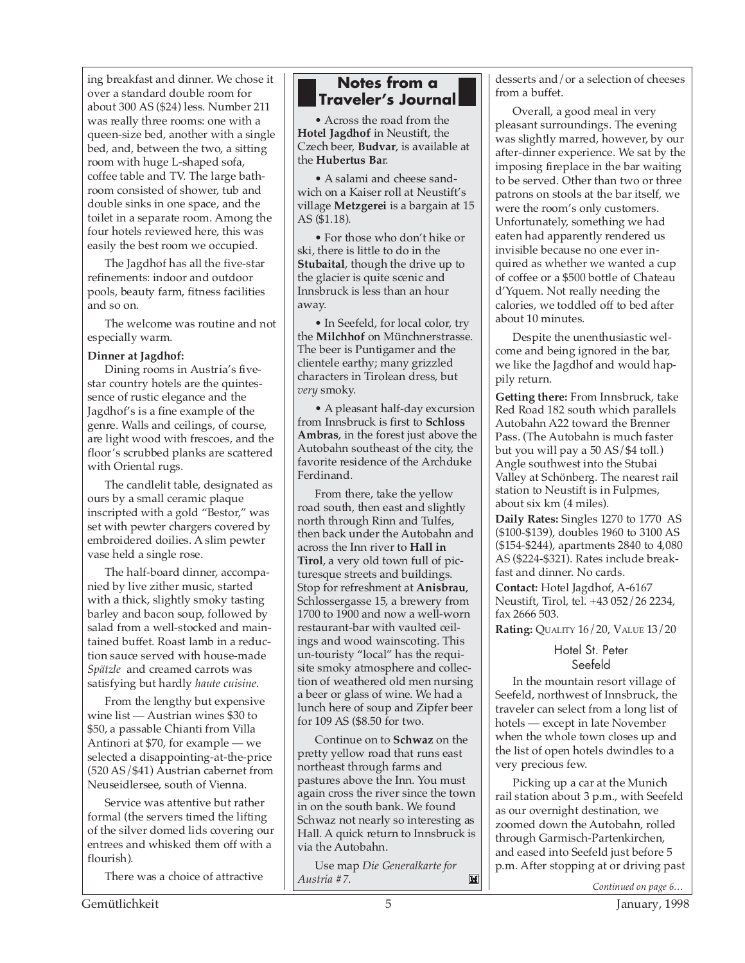ing breakfast and dinner. We chose it over a standard double room for about 300 AS (\$24) less. Number 211 was really three rooms: one with a queen-size bed, another with a single bed, and, between the two, a sitting room with huge L-shaped sofa, coffee table and TV. The large bathroom consisted of shower, tub and double sinks in one space, and the toilet in a separate room. Among the four hotels reviewed here, this was easily the best room we occupied.

The Jagdhof has all the five-star refinements: indoor and outdoor pools, beauty farm, fitness facilities and so on.

The welcome was routine and not especially warm.

#### **Dinner at Jagdhof:**

Dining rooms in Austria's fivestar country hotels are the quintessence of rustic elegance and the Jagdhof's is a fine example of the genre. Walls and ceilings, of course, are light wood with frescoes, and the floor's scrubbed planks are scattered with Oriental rugs.

The candlelit table, designated as ours by a small ceramic plaque inscripted with a gold "Bestor," was set with pewter chargers covered by embroidered doilies. A slim pewter vase held a single rose.

The half-board dinner, accompanied by live zither music, started with a thick, slightly smoky tasting barley and bacon soup, followed by salad from a well-stocked and maintained buffet. Roast lamb in a reduction sauce served with house-made *Spätzle* and creamed carrots was satisfying but hardly *haute cuisine*.

From the lengthy but expensive wine list — Austrian wines \$30 to \$50, a passable Chianti from Villa Antinori at \$70, for example — we selected a disappointing-at-the-price (520 AS/\$41) Austrian cabernet from Neuseidlersee, south of Vienna.

Service was attentive but rather formal (the servers timed the lifting of the silver domed lids covering our entrees and whisked them off with a flourish).

There was a choice of attractive

#### **Notes from a Traveler's Journal**

• Across the road from the **Hotel Jagdhof** in Neustift, the Czech beer, **Budvar**, is available at the **Hubertus Ba**r.

• A salami and cheese sandwich on a Kaiser roll at Neustift's village **Metzgerei** is a bargain at 15 AS (\$1.18).

• For those who don't hike or ski, there is little to do in the **Stubaital**, though the drive up to the glacier is quite scenic and Innsbruck is less than an hour away.

• In Seefeld, for local color, try the **Milchhof** on Münchnerstrasse. The beer is Puntigamer and the clientele earthy; many grizzled characters in Tirolean dress, but *very* smoky.

• A pleasant half-day excursion from Innsbruck is first to **Schloss Ambras**, in the forest just above the Autobahn southeast of the city, the favorite residence of the Archduke Ferdinand.

From there, take the yellow road south, then east and slightly north through Rinn and Tulfes, then back under the Autobahn and across the Inn river to **Hall in Tirol**, a very old town full of picturesque streets and buildings. Stop for refreshment at **Anisbrau**, Schlossergasse 15, a brewery from 1700 to 1900 and now a well-worn restaurant-bar with vaulted ceilings and wood wainscoting. This un-touristy "local" has the requisite smoky atmosphere and collection of weathered old men nursing a beer or glass of wine. We had a lunch here of soup and Zipfer beer for 109 AS (\$8.50 for two.

Continue on to **Schwaz** on the pretty yellow road that runs east northeast through farms and pastures above the Inn. You must again cross the river since the town in on the south bank. We found Schwaz not nearly so interesting as Hall. A quick return to Innsbruck is via the Autobahn.

Use map *Die Generalkarte for Austria #7*. *Continued on page 6…*

desserts and/or a selection of cheeses from a buffet.

Overall, a good meal in very pleasant surroundings. The evening was slightly marred, however, by our after-dinner experience. We sat by the imposing fireplace in the bar waiting to be served. Other than two or three patrons on stools at the bar itself, we were the room's only customers. Unfortunately, something we had eaten had apparently rendered us invisible because no one ever inquired as whether we wanted a cup of coffee or a \$500 bottle of Chateau d'Yquem. Not really needing the calories, we toddled off to bed after about 10 minutes.

Despite the unenthusiastic welcome and being ignored in the bar, we like the Jagdhof and would happily return.

**Getting there:** From Innsbruck, take Red Road 182 south which parallels Autobahn A22 toward the Brenner Pass. (The Autobahn is much faster but you will pay a 50 AS/\$4 toll.) Angle southwest into the Stubai Valley at Schönberg. The nearest rail station to Neustift is in Fulpmes, about six km (4 miles).

**Daily Rates:** Singles 1270 to 1770 AS (\$100-\$139), doubles 1960 to 3100 AS (\$154-\$244), apartments 2840 to 4,080 AS (\$224-\$321). Rates include breakfast and dinner. No cards.

**Contact:** Hotel Jagdhof, A-6167 Neustift, Tirol, tel. +43 052/26 2234, fax 2666 503.

**Rating:** QUALITY 16/20, VALUE 13/20

#### Hotel St. Peter Seefeld

In the mountain resort village of Seefeld, northwest of Innsbruck, the traveler can select from a long list of hotels — except in late November when the whole town closes up and the list of open hotels dwindles to a very precious few.

Picking up a car at the Munich rail station about 3 p.m., with Seefeld as our overnight destination, we zoomed down the Autobahn, rolled through Garmisch-Partenkirchen, and eased into Seefeld just before 5 p.m. After stopping at or driving past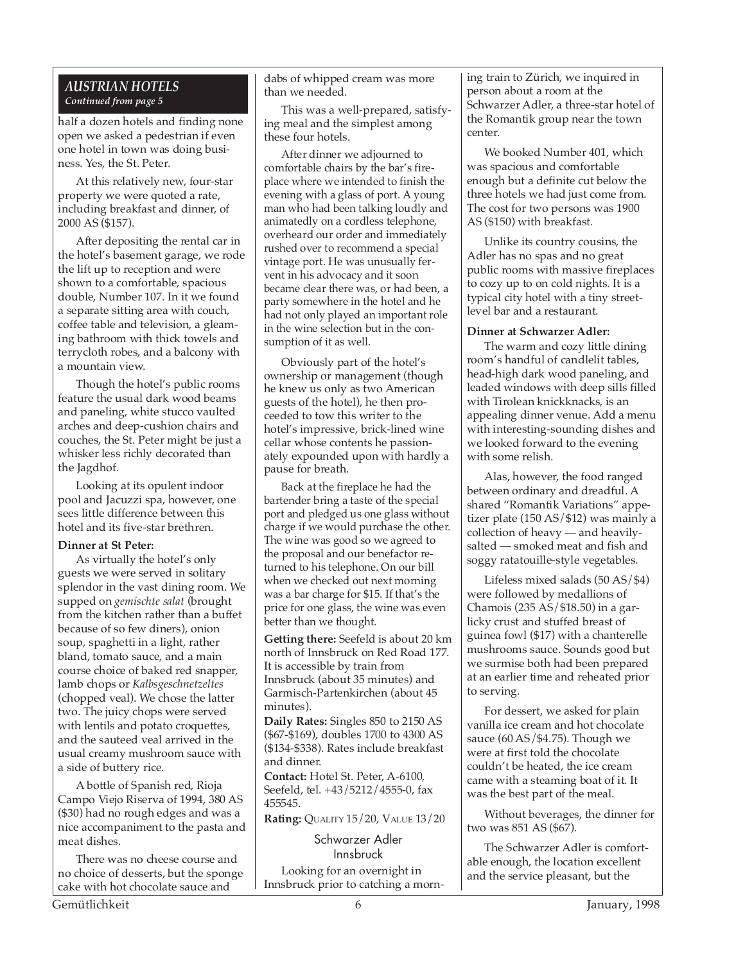#### *AUSTRIAN HOTELS Continued from page 5*

half a dozen hotels and finding none open we asked a pedestrian if even one hotel in town was doing business. Yes, the St. Peter.

At this relatively new, four-star property we were quoted a rate, including breakfast and dinner, of 2000 AS (\$157).

After depositing the rental car in the hotel's basement garage, we rode the lift up to reception and were shown to a comfortable, spacious double, Number 107. In it we found a separate sitting area with couch, coffee table and television, a gleaming bathroom with thick towels and terrycloth robes, and a balcony with a mountain view.

Though the hotel's public rooms feature the usual dark wood beams and paneling, white stucco vaulted arches and deep-cushion chairs and couches, the St. Peter might be just a whisker less richly decorated than the Jagdhof.

Looking at its opulent indoor pool and Jacuzzi spa, however, one sees little difference between this hotel and its five-star brethren.

#### **Dinner at St Peter:**

As virtually the hotel's only guests we were served in solitary splendor in the vast dining room. We supped on *gemischte salat* (brought from the kitchen rather than a buffet because of so few diners), onion soup, spaghetti in a light, rather bland, tomato sauce, and a main course choice of baked red snapper, lamb chops or *Kalbsgeschnetzeltes* (chopped veal). We chose the latter two. The juicy chops were served with lentils and potato croquettes, and the sauteed veal arrived in the usual creamy mushroom sauce with a side of buttery rice.

A bottle of Spanish red, Rioja Campo Viejo Riserva of 1994, 380 AS (\$30) had no rough edges and was a nice accompaniment to the pasta and meat dishes.

There was no cheese course and no choice of desserts, but the sponge cake with hot chocolate sauce and

dabs of whipped cream was more than we needed.

This was a well-prepared, satisfying meal and the simplest among these four hotels.

After dinner we adjourned to comfortable chairs by the bar's fireplace where we intended to finish the evening with a glass of port. A young man who had been talking loudly and animatedly on a cordless telephone, overheard our order and immediately rushed over to recommend a special vintage port. He was unusually fervent in his advocacy and it soon became clear there was, or had been, a party somewhere in the hotel and he had not only played an important role in the wine selection but in the consumption of it as well.

Obviously part of the hotel's ownership or management (though he knew us only as two American guests of the hotel), he then proceeded to tow this writer to the hotel's impressive, brick-lined wine cellar whose contents he passionately expounded upon with hardly a pause for breath.

Back at the fireplace he had the bartender bring a taste of the special port and pledged us one glass without charge if we would purchase the other. The wine was good so we agreed to the proposal and our benefactor returned to his telephone. On our bill when we checked out next morning was a bar charge for \$15. If that's the price for one glass, the wine was even better than we thought.

**Getting there:** Seefeld is about 20 km north of Innsbruck on Red Road 177. It is accessible by train from Innsbruck (about 35 minutes) and Garmisch-Partenkirchen (about 45 minutes).

**Daily Rates:** Singles 850 to 2150 AS (\$67-\$169), doubles 1700 to 4300 AS (\$134-\$338). Rates include breakfast and dinner.

**Contact:** Hotel St. Peter, A-6100, Seefeld, tel. +43/5212/4555-0, fax 455545.

**Rating:** QUALITY 15/20, VALUE 13/20

Schwarzer Adler Innsbruck Looking for an overnight in

Innsbruck prior to catching a morn-

ing train to Zürich, we inquired in person about a room at the Schwarzer Adler, a three-star hotel of the Romantik group near the town center.

We booked Number 401, which was spacious and comfortable enough but a definite cut below the three hotels we had just come from. The cost for two persons was 1900 AS (\$150) with breakfast.

Unlike its country cousins, the Adler has no spas and no great public rooms with massive fireplaces to cozy up to on cold nights. It is a typical city hotel with a tiny streetlevel bar and a restaurant.

#### **Dinner at Schwarzer Adler:**

The warm and cozy little dining room's handful of candlelit tables, head-high dark wood paneling, and leaded windows with deep sills filled with Tirolean knickknacks, is an appealing dinner venue. Add a menu with interesting-sounding dishes and we looked forward to the evening with some relish.

Alas, however, the food ranged between ordinary and dreadful. A shared "Romantik Variations" appetizer plate (150 AS/\$12) was mainly a collection of heavy — and heavilysalted — smoked meat and fish and soggy ratatouille-style vegetables.

Lifeless mixed salads (50 AS/\$4) were followed by medallions of Chamois (235 AS/\$18.50) in a garlicky crust and stuffed breast of guinea fowl (\$17) with a chanterelle mushrooms sauce. Sounds good but we surmise both had been prepared at an earlier time and reheated prior to serving.

For dessert, we asked for plain vanilla ice cream and hot chocolate sauce (60 AS/\$4.75). Though we were at first told the chocolate couldn't be heated, the ice cream came with a steaming boat of it. It was the best part of the meal.

Without beverages, the dinner for two was 851 AS (\$67).

The Schwarzer Adler is comfortable enough, the location excellent and the service pleasant, but the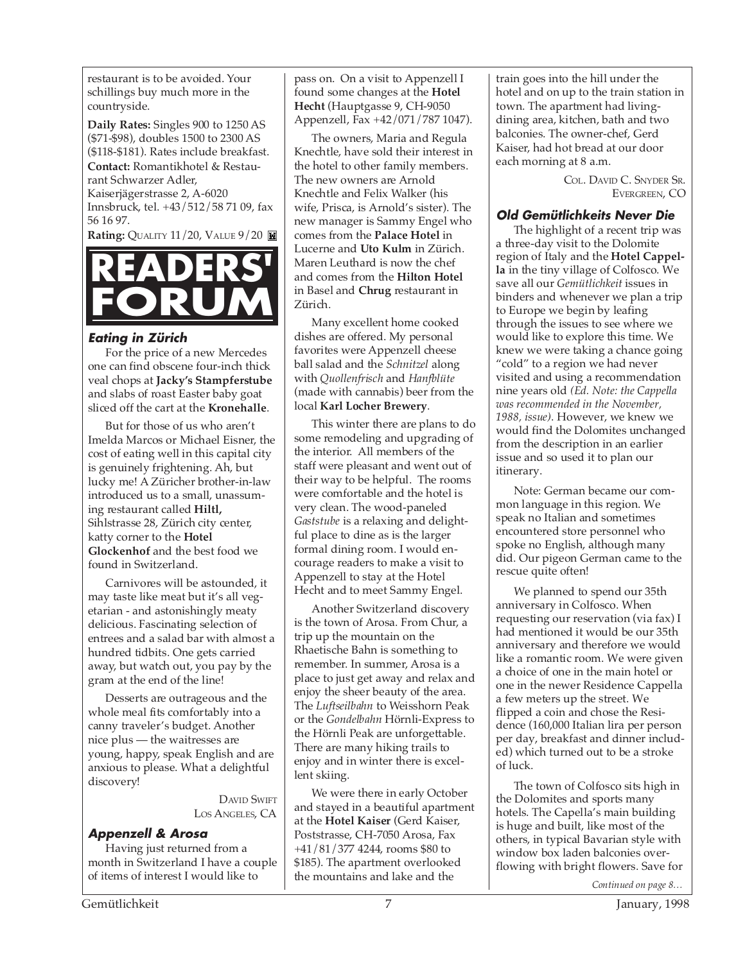restaurant is to be avoided. Your schillings buy much more in the countryside.

**Daily Rates:** Singles 900 to 1250 AS (\$71-\$98), doubles 1500 to 2300 AS (\$118-\$181). Rates include breakfast. **Contact:** Romantikhotel & Restaurant Schwarzer Adler, Kaiserjägerstrasse 2, A-6020 Innsbruck, tel. +43/512/58 71 09, fax 56 16 97.

**Rating: QUALITY 11/20, VALUE 9/20 <b>M** 



#### **Eating in Zürich**

For the price of a new Mercedes one can find obscene four-inch thick veal chops at **Jacky's Stampferstube** and slabs of roast Easter baby goat sliced off the cart at the **Kronehalle**.

But for those of us who aren't Imelda Marcos or Michael Eisner, the cost of eating well in this capital city is genuinely frightening. Ah, but lucky me! A Züricher brother-in-law introduced us to a small, unassuming restaurant called **Hiltl,** Sihlstrasse 28, Zürich city center, katty corner to the **Hotel Glockenhof** and the best food we found in Switzerland.

Carnivores will be astounded, it may taste like meat but it's all vegetarian - and astonishingly meaty delicious. Fascinating selection of entrees and a salad bar with almost a hundred tidbits. One gets carried away, but watch out, you pay by the gram at the end of the line!

Desserts are outrageous and the whole meal fits comfortably into a canny traveler's budget. Another nice plus — the waitresses are young, happy, speak English and are anxious to please. What a delightful discovery!

> DAVID SWIFT LOS ANGELES, CA

#### **Appenzell & Arosa**

Having just returned from a month in Switzerland I have a couple of items of interest I would like to

pass on. On a visit to Appenzell I found some changes at the **Hotel Hecht** (Hauptgasse 9, CH-9050 Appenzell, Fax +42/071/787 1047).

The owners, Maria and Regula Knechtle, have sold their interest in the hotel to other family members. The new owners are Arnold Knechtle and Felix Walker (his wife, Prisca, is Arnold's sister). The new manager is Sammy Engel who comes from the **Palace Hotel** in Lucerne and **Uto Kulm** in Zürich. Maren Leuthard is now the chef and comes from the **Hilton Hotel** in Basel and **Chrug** restaurant in Zürich.

Many excellent home cooked dishes are offered. My personal favorites were Appenzell cheese ball salad and the *Schnitzel* along with *Quollenfrisch* and *Hanfblüte* (made with cannabis) beer from the local **Karl Locher Brewery**.

This winter there are plans to do some remodeling and upgrading of the interior. All members of the staff were pleasant and went out of their way to be helpful. The rooms were comfortable and the hotel is very clean. The wood-paneled *Gaststube* is a relaxing and delightful place to dine as is the larger formal dining room. I would encourage readers to make a visit to Appenzell to stay at the Hotel Hecht and to meet Sammy Engel.

Another Switzerland discovery is the town of Arosa. From Chur, a trip up the mountain on the Rhaetische Bahn is something to remember. In summer, Arosa is a place to just get away and relax and enjoy the sheer beauty of the area. The *Luftseilbahn* to Weisshorn Peak or the *Gondelbahn* Hörnli-Express to the Hörnli Peak are unforgettable. There are many hiking trails to enjoy and in winter there is excellent skiing.

We were there in early October and stayed in a beautiful apartment at the **Hotel Kaiser** (Gerd Kaiser, Poststrasse, CH-7050 Arosa, Fax +41/81/377 4244, rooms \$80 to \$185). The apartment overlooked the mountains and lake and the

train goes into the hill under the hotel and on up to the train station in town. The apartment had livingdining area, kitchen, bath and two balconies. The owner-chef, Gerd Kaiser, had hot bread at our door each morning at 8 a.m.

> COL. DAVID C. SNYDER SR. EVERGREEN, CO

#### **Old Gemütlichkeits Never Die**

The highlight of a recent trip was a three-day visit to the Dolomite region of Italy and the **Hotel Cappella** in the tiny village of Colfosco. We save all our *Gemütlichkeit* issues in binders and whenever we plan a trip to Europe we begin by leafing through the issues to see where we would like to explore this time. We knew we were taking a chance going "cold" to a region we had never visited and using a recommendation nine years old *(Ed. Note: the Cappella was recommended in the November, 1988, issue)*. However, we knew we would find the Dolomites unchanged from the description in an earlier issue and so used it to plan our itinerary.

Note: German became our common language in this region. We speak no Italian and sometimes encountered store personnel who spoke no English, although many did. Our pigeon German came to the rescue quite often!

We planned to spend our 35th anniversary in Colfosco. When requesting our reservation (via fax) I had mentioned it would be our 35th anniversary and therefore we would like a romantic room. We were given a choice of one in the main hotel or one in the newer Residence Cappella a few meters up the street. We flipped a coin and chose the Residence (160,000 Italian lira per person per day, breakfast and dinner included) which turned out to be a stroke of luck.

The town of Colfosco sits high in the Dolomites and sports many hotels. The Capella's main building is huge and built, like most of the others, in typical Bavarian style with window box laden balconies overflowing with bright flowers. Save for